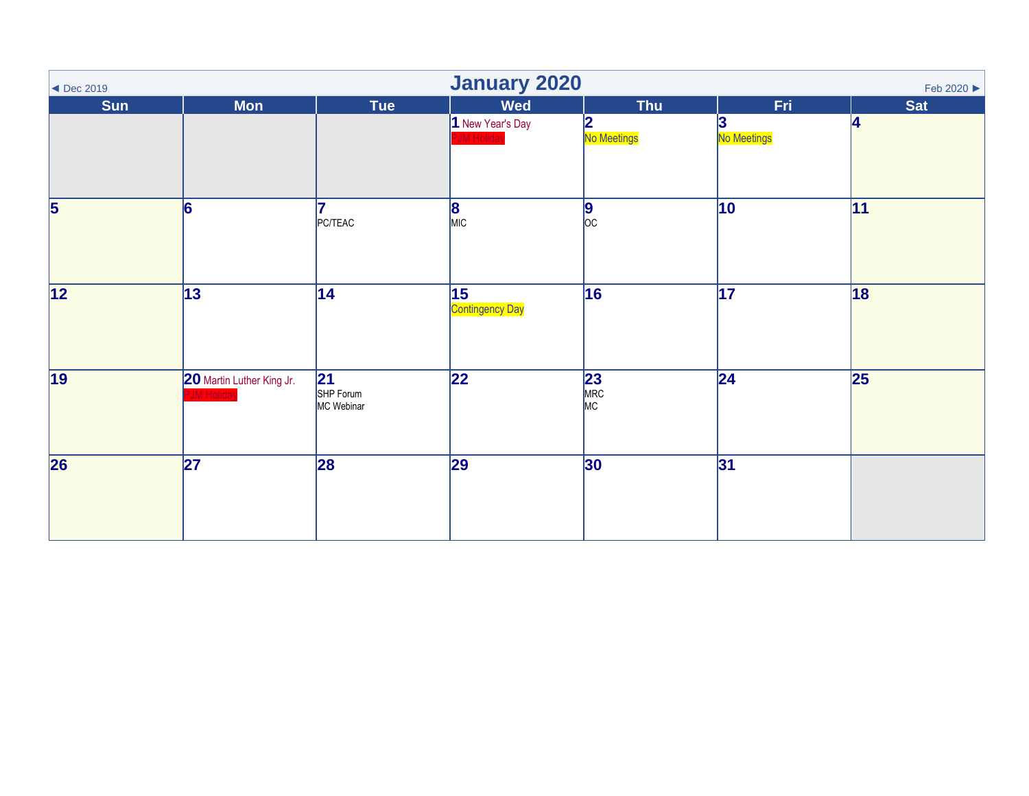<span id="page-0-0"></span>

| $\blacktriangleleft$ Dec 2019 | <b>January 2020</b><br>Feb 2020 ▶ |                               |                                |                                |                          |                 |  |  |  |
|-------------------------------|-----------------------------------|-------------------------------|--------------------------------|--------------------------------|--------------------------|-----------------|--|--|--|
| Sun                           | <b>Mon</b>                        | <b>Tue</b>                    | <b>Wed</b><br>1 New Year's Day | <b>Thu</b><br>2<br>No Meetings | Fri<br>13<br>No Meetings | <b>Sat</b><br>4 |  |  |  |
| $\overline{\mathbf{5}}$       | 6                                 | PC/TEAC                       | $\frac{8}{MIC}$                | $\frac{9}{00}$                 | $ 10\rangle$             | 11              |  |  |  |
| 12                            | 13                                | 14                            | 15 <br><b>Contingency Day</b>  | 16                             | 17                       | 18              |  |  |  |
| 19                            | 20 Martin Luther King Jr.         | 21<br>SHP Forum<br>MC Webinar | $\overline{22}$                | 23<br>MRC<br>MC                | 24                       | $\vert$ 25      |  |  |  |
| 26                            | $\overline{27}$                   | 28                            | 29                             | 30                             | 31                       |                 |  |  |  |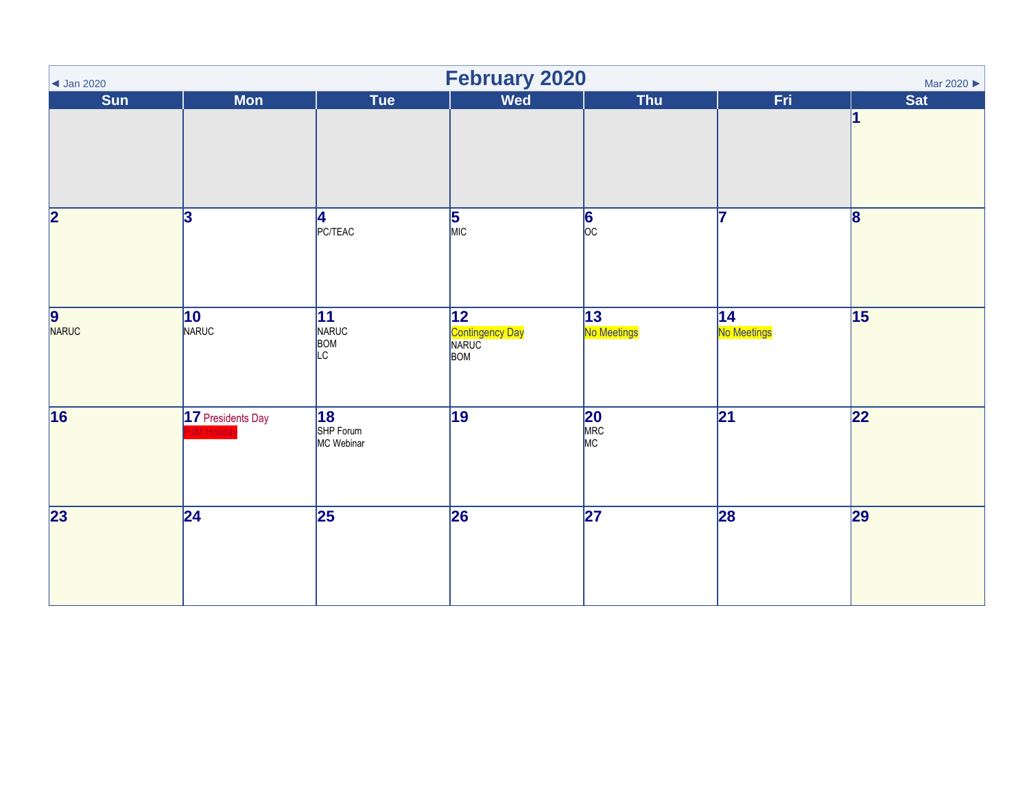| $\vert$ Jan 2020        |                         |                                      | <b>February 2020</b>                                      |                        |                   | Mar 2020 ▶              |
|-------------------------|-------------------------|--------------------------------------|-----------------------------------------------------------|------------------------|-------------------|-------------------------|
| Sun                     | <b>Mon</b>              | Tue                                  | <b>Wed</b>                                                | <b>Thu</b>             | Fri               | <b>Sat</b>              |
|                         |                         |                                      |                                                           |                        |                   | 1                       |
| $\overline{\mathbf{2}}$ | $\overline{\mathbf{3}}$ | 4<br>PC/TEAC                         | $\frac{5}{MIC}$                                           | $\frac{6}{\circ}$      | 17                | $\overline{\mathbf{8}}$ |
| 9<br>NARUC              | 10<br>NARUC             | 11<br>NARUC<br>BOM<br>LC             | $\overline{12}$<br><b>Contingency Day</b><br>NARUC<br>BOM | 13<br>No Meetings      | 14<br>No Meetings | 15                      |
| 16                      | 17 Presidents Day       | <b>18</b><br>SHP Forum<br>MC Webinar | 19                                                        | <b>20</b><br>MRC<br>MC | $\overline{21}$   | 22                      |
| 23                      | $\overline{24}$         | $\overline{25}$                      | 26                                                        | $\overline{27}$        | 28                | 29                      |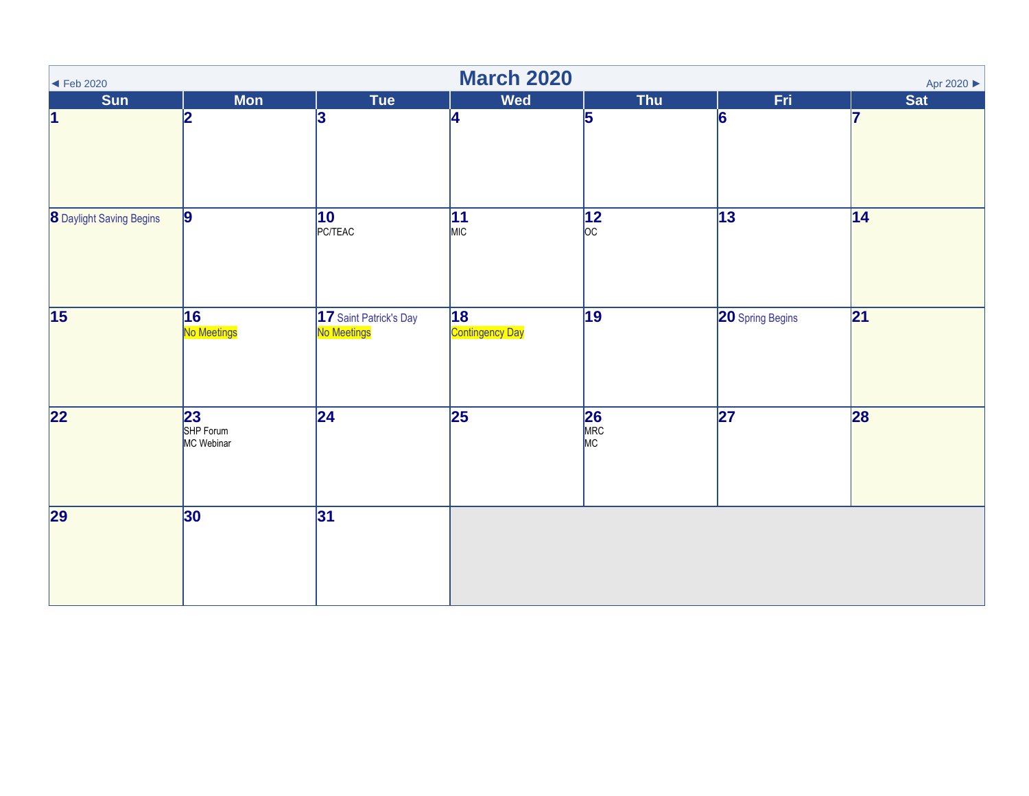| $\blacktriangleleft$ Feb 2020   |                                            |                                       | <b>March 2020</b>            |                        |                         | Apr 2020 ▶ |
|---------------------------------|--------------------------------------------|---------------------------------------|------------------------------|------------------------|-------------------------|------------|
| <b>Sun</b>                      | <b>Mon</b>                                 | Tue                                   | <b>Wed</b>                   | Thu                    | Fri                     | <b>Sat</b> |
| 1                               | 2                                          | 3                                     | 4                            | 5                      | 6                       | 17         |
| <b>8</b> Daylight Saving Begins | $\vert$ 9                                  | $\overline{10}$<br>PC/TEAC            | $\overline{11}$<br>MIC       | $\frac{12}{\text{oc}}$ | $\overline{13}$         | 14         |
| $\overline{15}$                 | 16<br>No Meetings                          | 17 Saint Patrick's Day<br>No Meetings | 18<br><b>Contingency Day</b> | $\overline{19}$        | <b>20</b> Spring Begins | 21         |
| 22                              | $\overline{23}$<br>SHP Forum<br>MC Webinar | $\overline{24}$                       | $\overline{25}$              | <b>26</b><br>MRC<br>MC | $\overline{27}$         | 28         |
| 29                              | 30                                         | 31                                    |                              |                        |                         |            |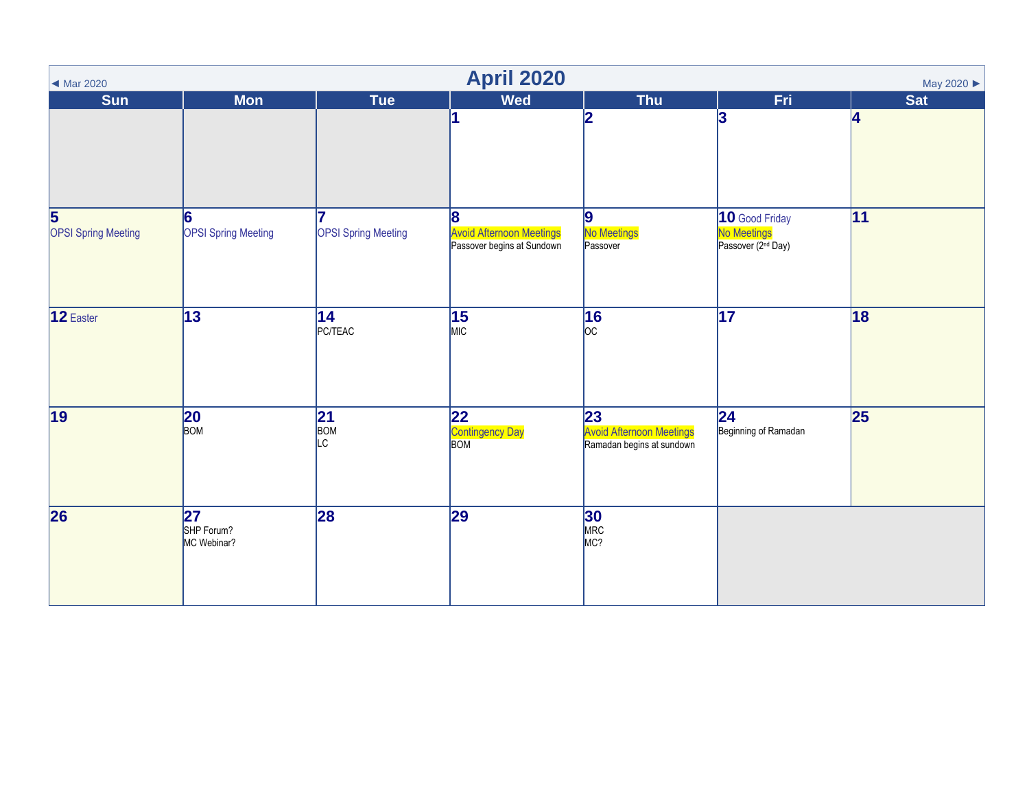| <b>April 2020</b><br>May 2020 ▶<br>◀ Mar 2020         |                                  |                            |                                                                    |                                                                    |                                                                 |            |  |  |
|-------------------------------------------------------|----------------------------------|----------------------------|--------------------------------------------------------------------|--------------------------------------------------------------------|-----------------------------------------------------------------|------------|--|--|
| <b>Sun</b>                                            | <b>Mon</b>                       | Tue                        | <b>Wed</b>                                                         | <b>Thu</b>                                                         | Fri                                                             | <b>Sat</b> |  |  |
|                                                       |                                  |                            |                                                                    | 2                                                                  | 3                                                               | 4          |  |  |
| $\overline{\mathbf{5}}$<br><b>OPSI Spring Meeting</b> | 6<br><b>OPSI Spring Meeting</b>  | <b>OPSI Spring Meeting</b> | 8<br><b>Avoid Afternoon Meetings</b><br>Passover begins at Sundown | 9<br><b>No Meetings</b><br>Passover                                | 10 Good Friday<br>No Meetings<br>Passover (2 <sup>nd</sup> Day) | 11         |  |  |
| 12 Easter                                             | $\sqrt{13}$                      | 14<br>PC/TEAC              | 15<br>MIC                                                          | 16<br>$ _{\text{OC}}$                                              | $\overline{17}$                                                 | 18         |  |  |
| 19                                                    | 20<br>BOM                        | 21 <br>BOM<br>LC           | 22 <br><b>Contingency Day</b><br>BOM                               | 23<br><b>Avoid Afternoon Meetings</b><br>Ramadan begins at sundown | 24 <br>Beginning of Ramadan                                     | 25         |  |  |
| $\overline{26}$                                       | 27 <br>SHP Forum?<br>MC Webinar? | 28                         | $\overline{29}$                                                    | 30<br>MRC<br>MC?                                                   |                                                                 |            |  |  |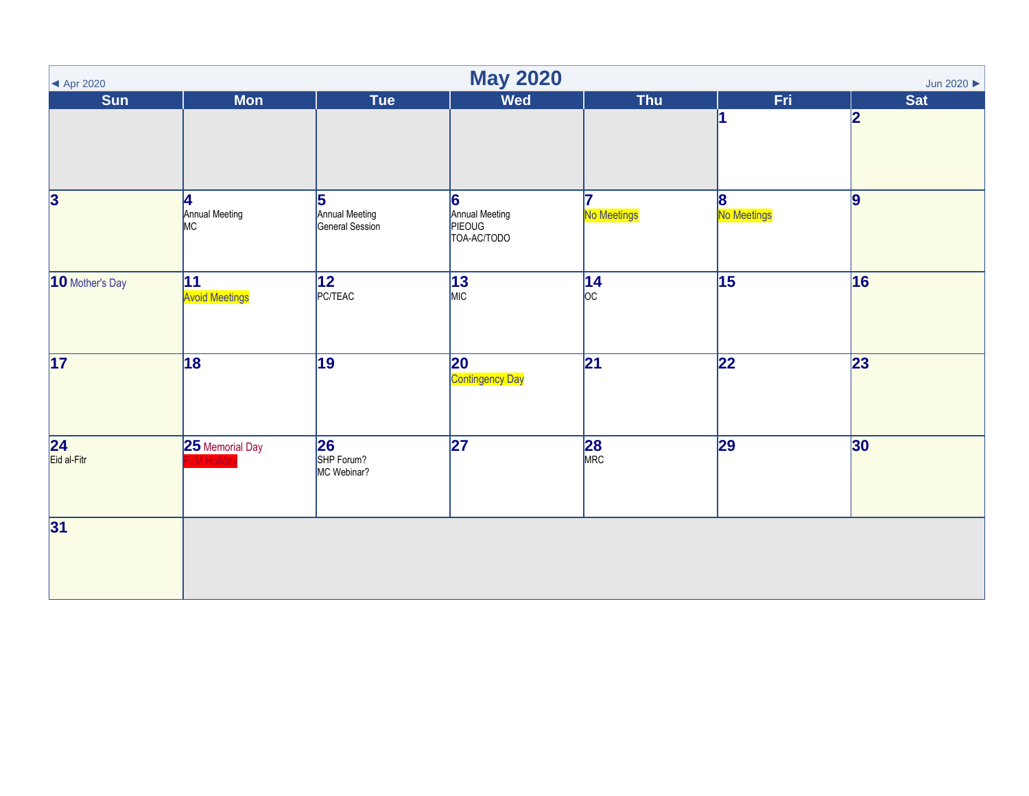| <b>May 2020</b><br>Jun 2020<br>$\blacktriangleleft$ Apr 2020 |                             |                                        |                                              |                                         |                  |                 |  |  |
|--------------------------------------------------------------|-----------------------------|----------------------------------------|----------------------------------------------|-----------------------------------------|------------------|-----------------|--|--|
| <b>Sun</b>                                                   | <b>Mon</b>                  | Tue                                    | <b>Wed</b>                                   | <b>Thu</b>                              | Fri              | Sat             |  |  |
|                                                              |                             |                                        |                                              |                                         |                  | 2               |  |  |
| $\overline{\mathbf{3}}$                                      | 4<br>Annual Meeting<br>MC   | 5<br>Annual Meeting<br>General Session | 6<br>Annual Meeting<br>PIEOUG<br>TOA-AC/TODO | 17<br>No Meetings                       | 8<br>No Meetings | $\overline{9}$  |  |  |
| 10 Mother's Day                                              | 11<br><b>Avoid Meetings</b> | $ 12\rangle$<br>PC/TEAC                | 13<br>MIC                                    | $14$ <sub>oc</sub>                      | $\overline{15}$  | 16              |  |  |
| 17                                                           | 18                          | $\overline{19}$                        | 20<br>Contingency Day                        | $\overline{21}$                         | $\overline{22}$  | $\overline{23}$ |  |  |
| $\overline{24}$<br>Eid al-Fitr                               | 25 Memorial Day             | 26<br>SHP Forum?<br>MC Webinar?        | $\overline{27}$                              | $\overline{\mathbf{28}}$ <sub>MRC</sub> | 29               | 30              |  |  |
| 31                                                           |                             |                                        |                                              |                                         |                  |                 |  |  |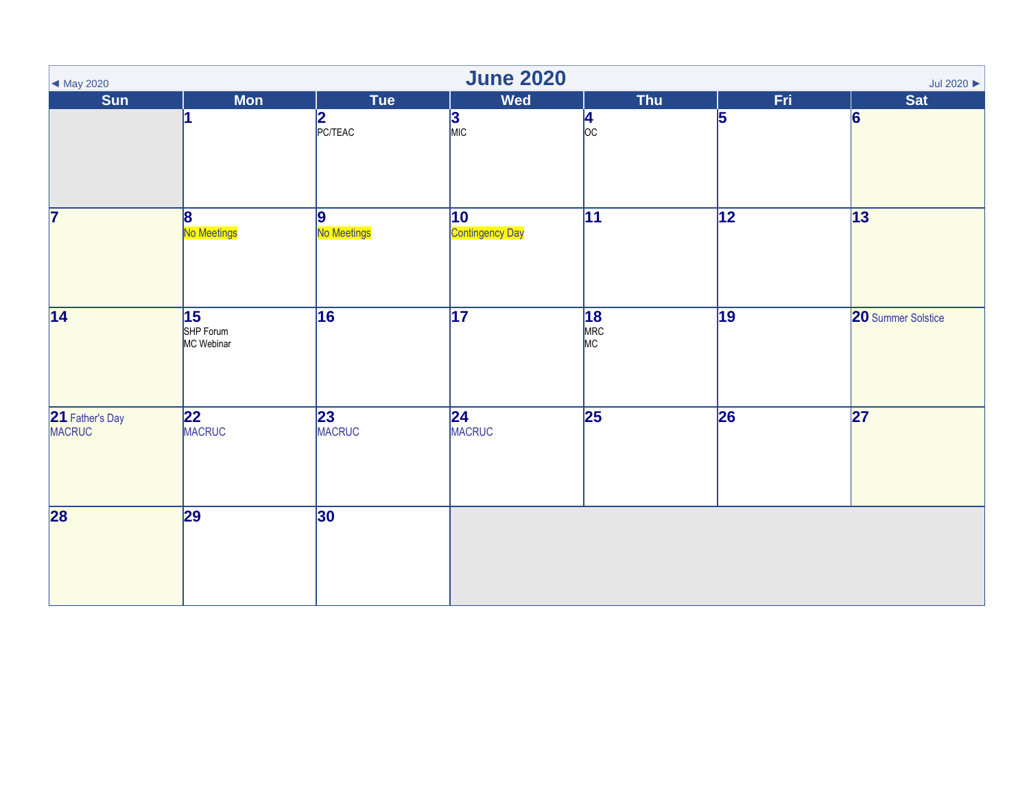| $\blacktriangleleft$ May 2020    | <b>June 2020</b><br>Jul 2020 $\blacktriangleright$ |                                  |                                        |                       |                 |                    |  |  |  |  |
|----------------------------------|----------------------------------------------------|----------------------------------|----------------------------------------|-----------------------|-----------------|--------------------|--|--|--|--|
| Sun                              | <b>Mon</b>                                         | Tue                              | <b>Wed</b>                             | Thu                   | Fri             | <b>Sat</b>         |  |  |  |  |
|                                  |                                                    | $2$<br>PC/TEAC                   | $\frac{3}{\text{MIC}}$                 | $\frac{4}{\text{oc}}$ | 5               | 6                  |  |  |  |  |
| $\overline{\mathbf{7}}$          | $\overline{8}$<br>No Meetings                      | $\vert$ 9<br>No Meetings         | $ 10\rangle$<br><b>Contingency Day</b> | $\overline{11}$       | $\overline{12}$ | 13                 |  |  |  |  |
| $\overline{14}$                  | 15<br>SHP Forum<br>MC Webinar                      | 16                               | $\overline{17}$                        | 18<br>MRC<br>MC       | $\overline{19}$ | 20 Summer Solstice |  |  |  |  |
| 21 Father's Day<br><b>MACRUC</b> | 22<br><b>MACRUC</b>                                | $\overline{23}$<br><b>MACRUC</b> | 24<br>MACRUC                           | $\overline{25}$       | 26              | 27                 |  |  |  |  |
| 28                               | 29                                                 | 30                               |                                        |                       |                 |                    |  |  |  |  |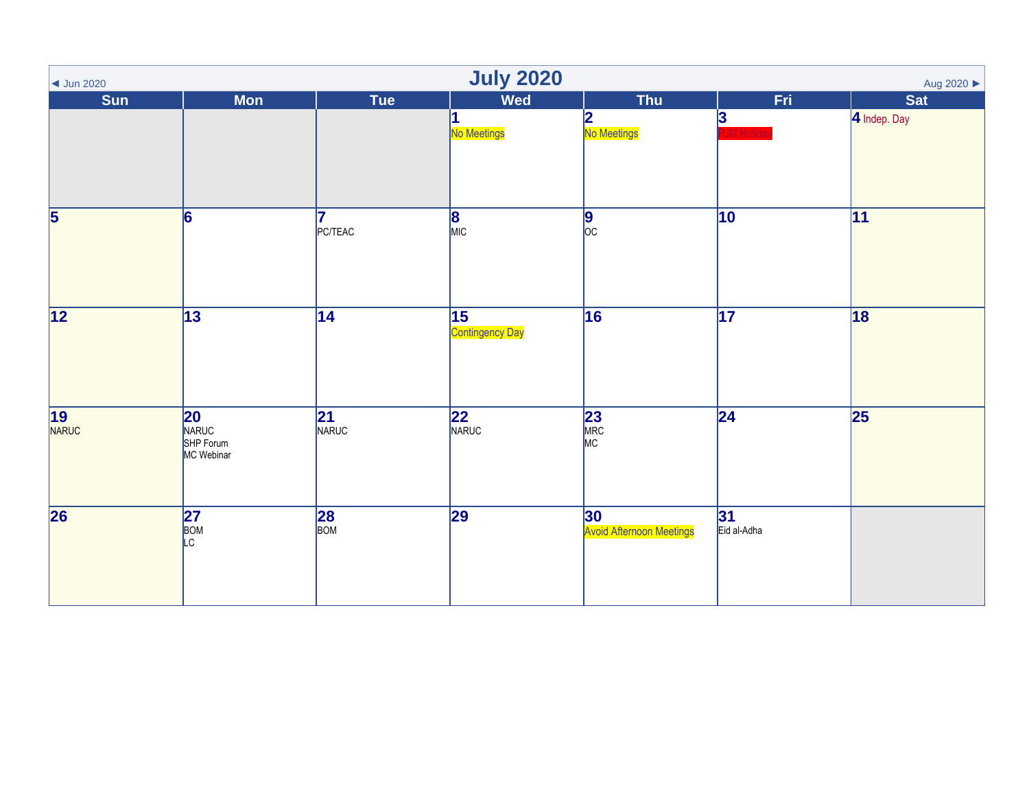| <b>July 2020</b><br>Aug 2020 ▶<br>$\vert$ Jun 2020 |                                               |                  |                       |                                       |                   |              |  |  |
|----------------------------------------------------|-----------------------------------------------|------------------|-----------------------|---------------------------------------|-------------------|--------------|--|--|
| Sun                                                | <b>Mon</b>                                    | Tue              | <b>Wed</b>            | <b>Thu</b>                            | Fri               | <b>Sat</b>   |  |  |
|                                                    |                                               |                  | No Meetings           | 2<br>No Meetings                      | 3                 | 4 Indep. Day |  |  |
| $\overline{\overline{\mathbf{5}}}$                 | $\overline{6}$                                | 7<br>PC/TEAC     | $\frac{8}{MIC}$       | $\sqrt{9}$                            | $\overline{10}$   | 11           |  |  |
| 12                                                 | $\sqrt{13}$                                   | $\overline{14}$  | 15<br>Contingency Day | 16                                    | $\overline{17}$   | 18           |  |  |
| 19<br>NARUC                                        | <b>20</b><br>NARUC<br>SHP Forum<br>MC Webinar | 21<br>NARUC      | 22<br>NARUC           | 23<br>MRC<br>MC                       | $\overline{24}$   | 25           |  |  |
| $\overline{26}$                                    | 27<br>BOM<br>LC                               | $\frac{28}{BOM}$ | 29                    | 30<br><b>Avoid Afternoon Meetings</b> | 31<br>Eid al-Adha |              |  |  |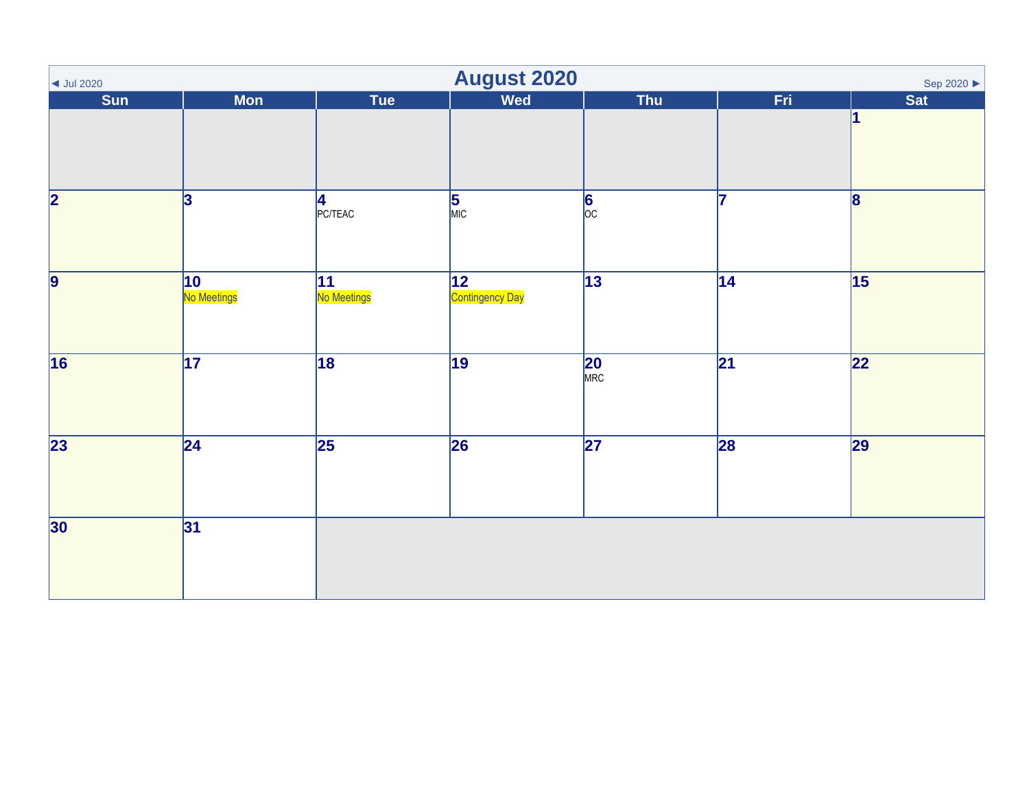| $\vert$ Jul 2020        | <b>August 2020</b><br>Sep 2020 ▶ |                   |                                        |                   |                 |                 |  |  |  |
|-------------------------|----------------------------------|-------------------|----------------------------------------|-------------------|-----------------|-----------------|--|--|--|
| Sun                     | <b>Mon</b>                       | Tue               | Wed                                    | <b>Thu</b>        | Fri             | Sat             |  |  |  |
|                         |                                  |                   |                                        |                   |                 |                 |  |  |  |
| $\overline{\mathbf{2}}$ | $\mathbf{a}$                     | 4<br>PC/TEAC      | $\frac{5}{MIC}$                        | $\frac{6}{\circ}$ | 17              | $\mathbf{8}$    |  |  |  |
| $\overline{9}$          | $\vert$ 10<br>No Meetings        | 11<br>No Meetings | $ 12\rangle$<br><b>Contingency Day</b> | $\overline{13}$   | $\overline{14}$ | $\overline{15}$ |  |  |  |
| $\overline{16}$         | $\overline{17}$                  | $\overline{18}$   | $\overline{19}$                        | $20$<br>MRC       | 21              | $\overline{22}$ |  |  |  |
| $\overline{23}$         | $\overline{24}$                  | $\overline{25}$   | 26                                     | $\overline{27}$   | 28              | 29              |  |  |  |
| 30                      | 31                               |                   |                                        |                   |                 |                 |  |  |  |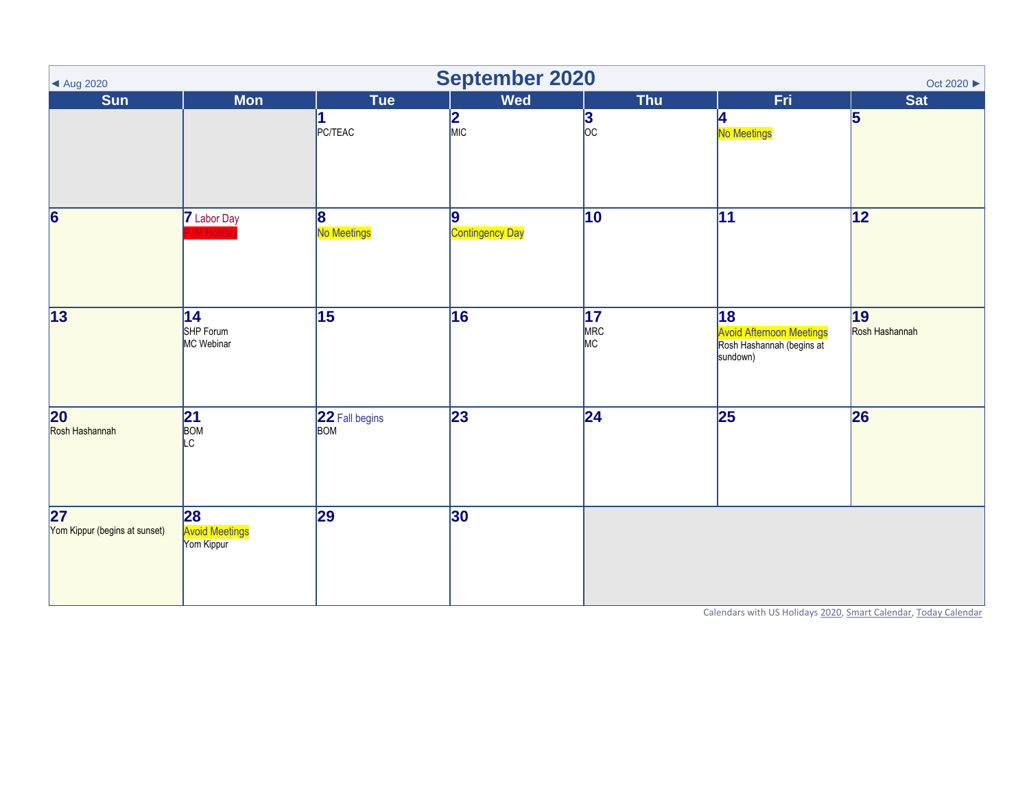| ▲ Aug 2020                                       |                                           |                                | <b>September 2020</b>       |                              |                                                                                | Oct 2020 $\blacktriangleright$ |
|--------------------------------------------------|-------------------------------------------|--------------------------------|-----------------------------|------------------------------|--------------------------------------------------------------------------------|--------------------------------|
| <b>Sun</b>                                       | <b>Mon</b>                                | Tue                            | <b>Wed</b>                  | <b>Thu</b>                   | Fri                                                                            | <b>Sat</b>                     |
|                                                  |                                           | <b>PC/TEAC</b>                 | $\frac{2}{\text{MIC}}$      | 3<br>$\overline{OC}$         | 4<br>No Meetings                                                               | $\overline{5}$                 |
| $\overline{6}$                                   | 7 Labor Day<br><b>IM Holida</b>           | $\vert 8 \vert$<br>No Meetings | 9<br><b>Contingency Day</b> | $\overline{10}$              | $\overline{11}$                                                                | 12                             |
| 13                                               | 14 <br>SHP Forum<br>MC Webinar            | 15                             | 16                          | $\overline{17}$<br>MRC<br>MC | 18<br><b>Avoid Afternoon Meetings</b><br>Rosh Hashannah (begins at<br>sundown) | 19<br>Rosh Hashannah           |
| 20<br>Rosh Hashannah                             | 21<br>BOM<br>LC.                          | 22 Fall begins<br><b>BOM</b>   | 23                          | 24                           | 25                                                                             | 26                             |
| $\overline{27}$<br>Yom Kippur (begins at sunset) | 28<br><b>Avoid Meetings</b><br>Yom Kippur | 29                             | 30                          |                              |                                                                                |                                |

Calendars with US Holiday[s 2020,](https://www.wincalendar.com/2020-Calendar-with-US-Holidays) [Smart Calendar,](https://www.wincalendar.com/2020-Holiday-Calendar) [Today Calendar](https://www.wincalendar.com/Calendar/Today)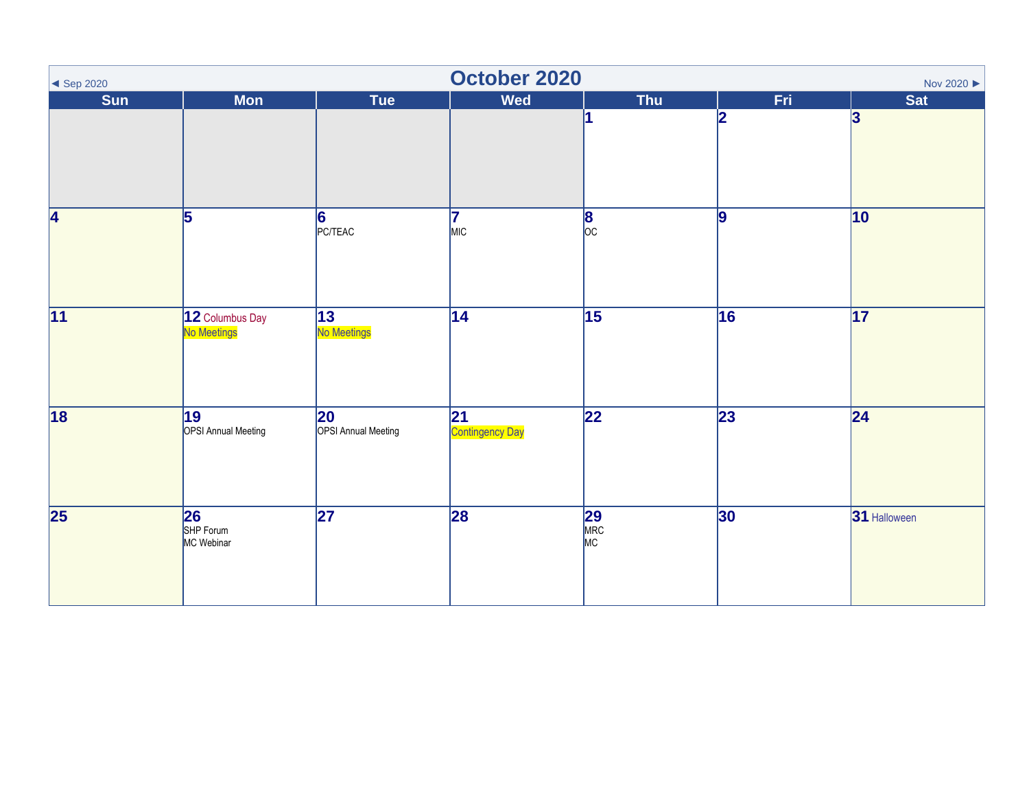| $\blacktriangleleft$ Sep 2020 |                                               |                                            | October 2020          |                       |                 | Nov 2020 ▶      |
|-------------------------------|-----------------------------------------------|--------------------------------------------|-----------------------|-----------------------|-----------------|-----------------|
| Sun                           | <b>Mon</b>                                    | <b>Tue</b>                                 | <b>Wed</b>            | Thu                   | Fri             | <b>Sat</b>      |
|                               |                                               |                                            |                       |                       | 2               | $\mathbf{3}$    |
| 4                             | 5                                             | 6 <br><b>PC/TEAC</b>                       | 7<br>MIC              | $\frac{8}{\text{oc}}$ | 9               | 10              |
| $\overline{11}$               | 12 Columbus Day<br>No Meetings                | 13<br>No Meetings                          | $\overline{14}$       | $\overline{15}$       | 16              | $\overline{17}$ |
| 18                            | $\overline{19}$<br><b>OPSI Annual Meeting</b> | $ 20\rangle$<br><b>OPSI Annual Meeting</b> | 21<br>Contingency Day | $\overline{22}$       | $\overline{23}$ | 24              |
| $\overline{\mathbf{25}}$      | 26<br>SHP Forum<br>MC Webinar                 | 27                                         | 28                    | 29<br>MRC<br>MC       | 30              | 31 Halloween    |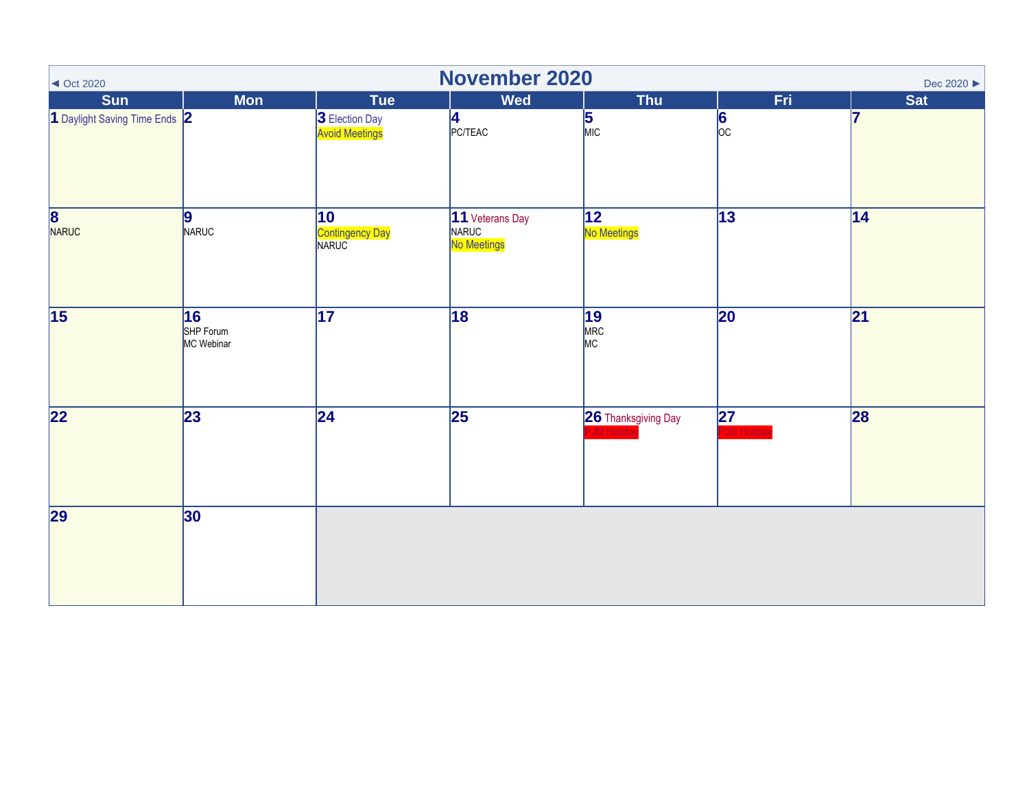| $\sim$ Oct 2020               | November 2020<br>Dec 2020 ▶   |                                         |                                         |                     |                    |            |  |  |  |  |
|-------------------------------|-------------------------------|-----------------------------------------|-----------------------------------------|---------------------|--------------------|------------|--|--|--|--|
| <b>Sun</b>                    | <b>Mon</b>                    | Tue                                     | <b>Wed</b>                              | <b>Thu</b>          | Fri.               | <b>Sat</b> |  |  |  |  |
| 1 Daylight Saving Time Ends 2 |                               | 3 Election Day<br><b>Avoid Meetings</b> | 4<br>PC/TEAC                            | $\frac{5}{MIC}$     | $\frac{6}{\infty}$ | 17         |  |  |  |  |
| 8<br>NARUC                    | 9 <br>NARUC                   | 10<br>Contingency Day<br>NARUC          | 11 Veterans Day<br>NARUC<br>No Meetings | 12 <br>No Meetings  | $\overline{13}$    | 14         |  |  |  |  |
| $\overline{15}$               | 16<br>SHP Forum<br>MC Webinar | $\overline{17}$                         | $\overline{18}$                         | 19<br>MRC<br>MC     | 20                 | 21         |  |  |  |  |
| 22                            | 23                            | 24                                      | $\overline{25}$                         | 26 Thanksgiving Day | 27                 | 28         |  |  |  |  |
| 29                            | 30                            |                                         |                                         |                     |                    |            |  |  |  |  |